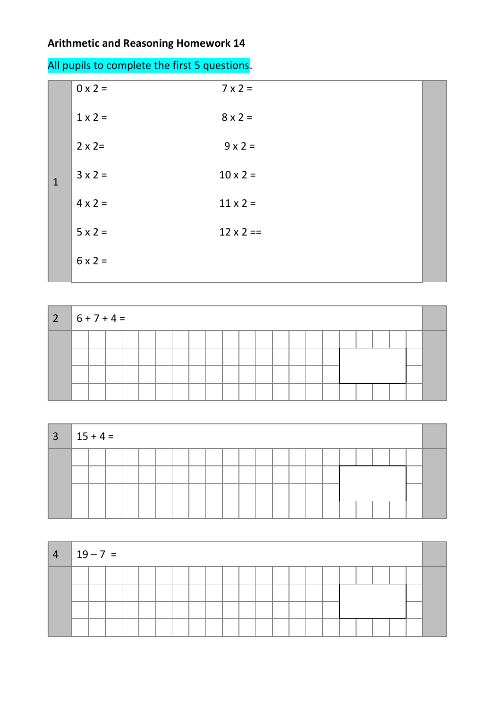## **Arithmetic and Reasoning Homework 14**

| All pupils to complete the first 5 questions. |  |  |
|-----------------------------------------------|--|--|
|-----------------------------------------------|--|--|

|              | $0 \times 2 =$ | $7 \times 2 =$   |  |
|--------------|----------------|------------------|--|
|              | $1 \times 2 =$ | $8 \times 2 =$   |  |
|              | $2 \times 2=$  | $9 \times 2 =$   |  |
| $\mathbf{1}$ | $3 \times 2 =$ | $10 \times 2 =$  |  |
|              | $4 \times 2 =$ | $11 \times 2 =$  |  |
|              | $5 \times 2 =$ | $12 \times 2 ==$ |  |
|              | $6 \times 2 =$ |                  |  |

| $ 2 6+7+4=$ |  |  |  |  |  |  |  |  |  |  |  |
|-------------|--|--|--|--|--|--|--|--|--|--|--|
|             |  |  |  |  |  |  |  |  |  |  |  |
|             |  |  |  |  |  |  |  |  |  |  |  |
|             |  |  |  |  |  |  |  |  |  |  |  |
|             |  |  |  |  |  |  |  |  |  |  |  |

| $3 \mid 15 + 4 =$ |  |  |  |  |  |  |  |  |  |  |  |
|-------------------|--|--|--|--|--|--|--|--|--|--|--|
|                   |  |  |  |  |  |  |  |  |  |  |  |
|                   |  |  |  |  |  |  |  |  |  |  |  |
|                   |  |  |  |  |  |  |  |  |  |  |  |
|                   |  |  |  |  |  |  |  |  |  |  |  |

| $-4$ | $19 - 7 =$ |  |  |  |  |  |  |  |  |  |  |  |
|------|------------|--|--|--|--|--|--|--|--|--|--|--|
|      |            |  |  |  |  |  |  |  |  |  |  |  |
|      |            |  |  |  |  |  |  |  |  |  |  |  |
|      |            |  |  |  |  |  |  |  |  |  |  |  |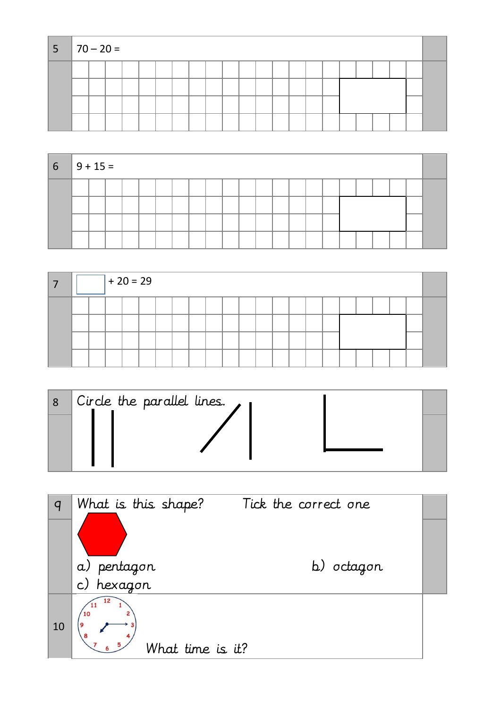| $ 5 70-20=$ |  |  |  |  |  |  |  |  |  |  |  |
|-------------|--|--|--|--|--|--|--|--|--|--|--|
|             |  |  |  |  |  |  |  |  |  |  |  |
|             |  |  |  |  |  |  |  |  |  |  |  |
|             |  |  |  |  |  |  |  |  |  |  |  |
|             |  |  |  |  |  |  |  |  |  |  |  |

| $6 \mid 9 + 15 =$ |  |  |  |  |  |  |  |  |  |  |  |
|-------------------|--|--|--|--|--|--|--|--|--|--|--|
|                   |  |  |  |  |  |  |  |  |  |  |  |
|                   |  |  |  |  |  |  |  |  |  |  |  |
|                   |  |  |  |  |  |  |  |  |  |  |  |
|                   |  |  |  |  |  |  |  |  |  |  |  |

|  |  | $+20=29$ |  |  |  |  |  |  |  |  |  |
|--|--|----------|--|--|--|--|--|--|--|--|--|
|  |  |          |  |  |  |  |  |  |  |  |  |
|  |  |          |  |  |  |  |  |  |  |  |  |
|  |  |          |  |  |  |  |  |  |  |  |  |
|  |  |          |  |  |  |  |  |  |  |  |  |

| Circle the parallel lines. $\overline{\phantom{a}}$ |  |
|-----------------------------------------------------|--|
|                                                     |  |

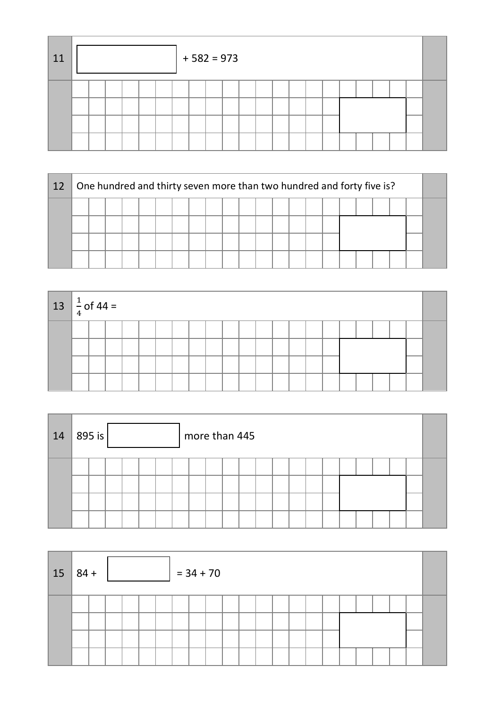| 11 |  |  |  | $+582=973$ |  |  |  |  |  |  |  |
|----|--|--|--|------------|--|--|--|--|--|--|--|
|    |  |  |  |            |  |  |  |  |  |  |  |

| 12 |  |  |  |  |  |  |  | One hundred and thirty seven more than two hundred and forty five is? |  |  |  |  |  |  |  |  |  |  |  |
|----|--|--|--|--|--|--|--|-----------------------------------------------------------------------|--|--|--|--|--|--|--|--|--|--|--|
|    |  |  |  |  |  |  |  |                                                                       |  |  |  |  |  |  |  |  |  |  |  |
|    |  |  |  |  |  |  |  |                                                                       |  |  |  |  |  |  |  |  |  |  |  |
|    |  |  |  |  |  |  |  |                                                                       |  |  |  |  |  |  |  |  |  |  |  |
|    |  |  |  |  |  |  |  |                                                                       |  |  |  |  |  |  |  |  |  |  |  |

| $13 \left  \frac{1}{4} \right.$ of 44 = |  |  |  |  |  |  |  |  |  |  |  |
|-----------------------------------------|--|--|--|--|--|--|--|--|--|--|--|
|                                         |  |  |  |  |  |  |  |  |  |  |  |
|                                         |  |  |  |  |  |  |  |  |  |  |  |
|                                         |  |  |  |  |  |  |  |  |  |  |  |
|                                         |  |  |  |  |  |  |  |  |  |  |  |

| 14 | 895 is |  |  | more than 445 |  |  |  |  |  |  |  |  |  |  |  |  |  |  |
|----|--------|--|--|---------------|--|--|--|--|--|--|--|--|--|--|--|--|--|--|
|    |        |  |  |               |  |  |  |  |  |  |  |  |  |  |  |  |  |  |

| 15 | $184 +$ | $= 34 + 70$ |  |  |  |  |  |  |  |  |  |  |  |  |  |  |  |  |  |  |
|----|---------|-------------|--|--|--|--|--|--|--|--|--|--|--|--|--|--|--|--|--|--|
|    |         |             |  |  |  |  |  |  |  |  |  |  |  |  |  |  |  |  |  |  |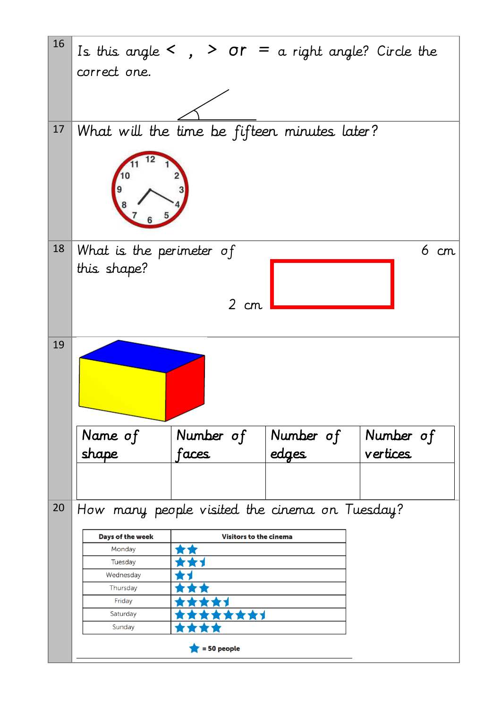